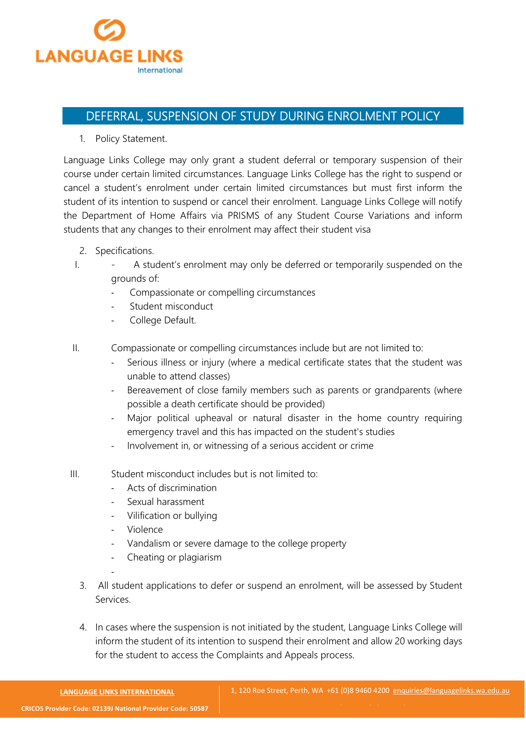

## DEFERRAL, SUSPENSION OF STUDY DURING ENROLMENT POLICY

1. Policy Statement.

Language Links College may only grant a student deferral or temporary suspension of their course under certain limited circumstances. Language Links College has the right to suspend or cancel a student's enrolment under certain limited circumstances but must first inform the student of its intention to suspend or cancel their enrolment. Language Links College will notify the Department of Home Affairs via PRISMS of any Student Course Variations and inform students that any changes to their enrolment may affect their student visa

- 2. Specifications.
- I. A student's enrolment may only be deferred or temporarily suspended on the grounds of:
	- Compassionate or compelling circumstances
	- Student misconduct
	- College Default.
- II. Compassionate or compelling circumstances include but are not limited to:
	- Serious illness or injury (where a medical certificate states that the student was unable to attend classes)
	- Bereavement of close family members such as parents or grandparents (where possible a death certificate should be provided)
	- Major political upheaval or natural disaster in the home country requiring emergency travel and this has impacted on the student's studies
	- Involvement in, or witnessing of a serious accident or crime
- III. Student misconduct includes but is not limited to:
	- Acts of discrimination
	- Sexual harassment
	- Vilification or bullying
	- **Violence**
	- Vandalism or severe damage to the college property
	- Cheating or plagiarism
	- 3. All student applications to defer or suspend an enrolment, will be assessed by Student Services.
	- 4. In cases where the suspension is not initiated by the student, Language Links College will inform the student of its intention to suspend their enrolment and allow 20 working days for the student to access the Complaints and Appeals process.

-

www.languagelinks.wa.edu.au